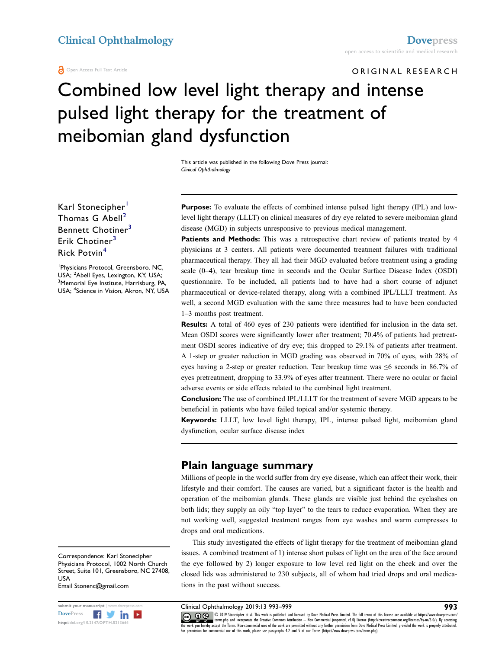Open Access Full Text Article

## ORIGINAL RESEARCH

# Combined low level light therapy and intense pulsed light therapy for the treatment of meibomian gland dysfunction

This article was published in the following Dove Press journal: Clinical Ophthalmology

Karl Stonecipher<sup>[1](#page-0-0)</sup> Thomas G  $Abell<sup>2</sup>$  $Abell<sup>2</sup>$  $Abell<sup>2</sup>$ Bennett Chotiner<sup>[3](#page-0-2)</sup> Erik Chotiner<sup>[3](#page-0-2)</sup> Rick Potvin[4](#page-0-3)

<span id="page-0-3"></span><span id="page-0-2"></span><span id="page-0-1"></span><span id="page-0-0"></span>1 Physicians Protocol, Greensboro, NC, USA; <sup>2</sup>Abell Eyes, Lexington, KY, USA;<br><sup>3</sup>Memorial Eye Institute, Harrisburg, P4 <sup>3</sup>Memorial Eye Institute, Harrisburg, PA, USA; <sup>4</sup> Science in Vision, Akron, NY, USA Purpose: To evaluate the effects of combined intense pulsed light therapy (IPL) and lowlevel light therapy (LLLT) on clinical measures of dry eye related to severe meibomian gland disease (MGD) in subjects unresponsive to previous medical management.

Patients and Methods: This was a retrospective chart review of patients treated by 4 physicians at 3 centers. All patients were documented treatment failures with traditional pharmaceutical therapy. They all had their MGD evaluated before treatment using a grading scale (0–4), tear breakup time in seconds and the Ocular Surface Disease Index (OSDI) questionnaire. To be included, all patients had to have had a short course of adjunct pharmaceutical or device-related therapy, along with a combined IPL/LLLT treatment. As well, a second MGD evaluation with the same three measures had to have been conducted 1–3 months post treatment.

Results: A total of 460 eyes of 230 patients were identified for inclusion in the data set. Mean OSDI scores were significantly lower after treatment; 70.4% of patients had pretreatment OSDI scores indicative of dry eye; this dropped to 29.1% of patients after treatment. A 1-step or greater reduction in MGD grading was observed in 70% of eyes, with 28% of eyes having a 2-step or greater reduction. Tear breakup time was  $\leq 6$  seconds in 86.7% of eyes pretreatment, dropping to 33.9% of eyes after treatment. There were no ocular or facial adverse events or side effects related to the combined light treatment.

Conclusion: The use of combined IPL/LLLT for the treatment of severe MGD appears to be beneficial in patients who have failed topical and/or systemic therapy.

Keywords: LLLT, low level light therapy, IPL, intense pulsed light, meibomian gland dysfunction, ocular surface disease index

#### Plain language summary

Millions of people in the world suffer from dry eye disease, which can affect their work, their lifestyle and their comfort. The causes are varied, but a significant factor is the health and operation of the meibomian glands. These glands are visible just behind the eyelashes on both lids; they supply an oily "top layer" to the tears to reduce evaporation. When they are not working well, suggested treatment ranges from eye washes and warm compresses to drops and oral medications.

This study investigated the effects of light therapy for the treatment of meibomian gland issues. A combined treatment of 1) intense short pulses of light on the area of the face around the eye followed by 2) longer exposure to low level red light on the cheek and over the closed lids was administered to 230 subjects, all of whom had tried drops and oral medications in the past without success.

Correspondence: Karl Stonecipher Physicians Protocol, 1002 North Church Street, Suite 101, Greensboro, NC 27408, USA Email Stonenc@gmail.com



 $\mathsf{S}^\mathsf{submit}$  your manuscript | www.dovepress.com **Clinical Ophthalmology 2019:13 993–999** 993

 $\Box$ www.particlems.php and incorporate the Creative Commons Attribution — Non Commercial (unported, v3.0) License (http://creativecommons.org/licenses/by-nc/3.0/). By accessing<br>the work you hereby accept the Terms. Non-commerc For permission for commercial use of this work, please see paragraphs 4.2 and 5 of our Terms (https://www.dovepress.com/terms.php).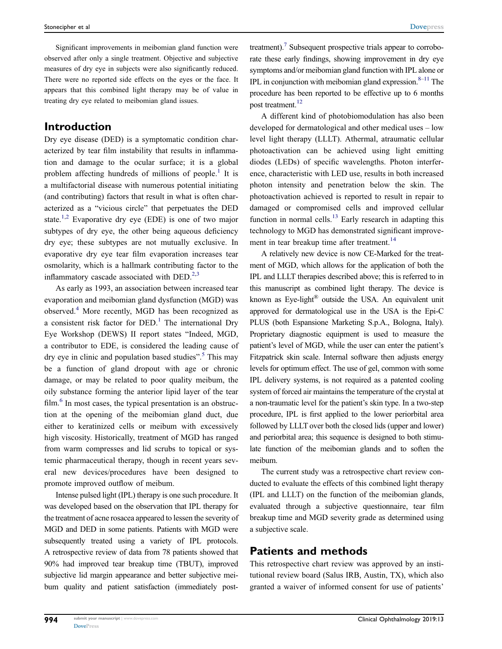Significant improvements in meibomian gland function were observed after only a single treatment. Objective and subjective measures of dry eye in subjects were also significantly reduced. There were no reported side effects on the eyes or the face. It appears that this combined light therapy may be of value in treating dry eye related to meibomian gland issues.

#### Introduction

Dry eye disease (DED) is a symptomatic condition characterized by tear film instability that results in inflammation and damage to the ocular surface; it is a global problem affecting hundreds of millions of people.<sup>[1](#page-6-0)</sup> It is a multifactorial disease with numerous potential initiating (and contributing) factors that result in what is often characterized as a "vicious circle" that perpetuates the DED state.<sup>[1](#page-6-0)[,2](#page-6-1)</sup> Evaporative dry eye (EDE) is one of two major subtypes of dry eye, the other being aqueous deficiency dry eye; these subtypes are not mutually exclusive. In evaporative dry eye tear film evaporation increases tear osmolarity, which is a hallmark contributing factor to the inflammatory cascade associated with  $DED<sup>2,3</sup>$  $DED<sup>2,3</sup>$  $DED<sup>2,3</sup>$  $DED<sup>2,3</sup>$ 

<span id="page-1-3"></span><span id="page-1-2"></span><span id="page-1-1"></span><span id="page-1-0"></span>As early as 1993, an association between increased tear evaporation and meibomian gland dysfunction (MGD) was observed.[4](#page-6-3) More recently, MGD has been recognized as a consistent risk factor for  $DED<sup>1</sup>$  $DED<sup>1</sup>$  $DED<sup>1</sup>$ . The international Dry Eye Workshop (DEWS) II report states "Indeed, MGD, a contributor to EDE, is considered the leading cause of dry eye in clinic and population based studies".<sup>[5](#page-6-4)</sup> This may be a function of gland dropout with age or chronic damage, or may be related to poor quality meibum, the oily substance forming the anterior lipid layer of the tear  $film<sup>6</sup>$  $film<sup>6</sup>$  $film<sup>6</sup>$  In most cases, the typical presentation is an obstruction at the opening of the meibomian gland duct, due either to keratinized cells or meibum with excessively high viscosity. Historically, treatment of MGD has ranged from warm compresses and lid scrubs to topical or systemic pharmaceutical therapy, though in recent years several new devices/procedures have been designed to promote improved outflow of meibum.

<span id="page-1-4"></span>Intense pulsed light (IPL) therapy is one such procedure. It was developed based on the observation that IPL therapy for the treatment of acne rosacea appeared to lessen the severity of MGD and DED in some patients. Patients with MGD were subsequently treated using a variety of IPL protocols. A retrospective review of data from 78 patients showed that 90% had improved tear breakup time (TBUT), improved subjective lid margin appearance and better subjective meibum quality and patient satisfaction (immediately post<span id="page-1-6"></span><span id="page-1-5"></span>treatment).<sup>7</sup> Subsequent prospective trials appear to corroborate these early findings, showing improvement in dry eye symptoms and/or meibomian gland function with IPL alone or IPL in conjunction with meibomian gland expression. $8-11$  $8-11$  The procedure has been reported to be effective up to 6 months post treatment.<sup>[12](#page-6-9)</sup>

<span id="page-1-7"></span>A different kind of photobiomodulation has also been developed for dermatological and other medical uses – low level light therapy (LLLT). Athermal, atraumatic cellular photoactivation can be achieved using light emitting diodes (LEDs) of specific wavelengths. Photon interference, characteristic with LED use, results in both increased photon intensity and penetration below the skin. The photoactivation achieved is reported to result in repair to damaged or compromised cells and improved cellular function in normal cells.<sup>[13](#page-6-10)</sup> Early research in adapting this technology to MGD has demonstrated significant improve-ment in tear breakup time after treatment.<sup>[14](#page-6-11)</sup>

<span id="page-1-9"></span><span id="page-1-8"></span>A relatively new device is now CE-Marked for the treatment of MGD, which allows for the application of both the IPL and LLLT therapies described above; this is referred to in this manuscript as combined light therapy. The device is known as Eye-light<sup>®</sup> outside the USA. An equivalent unit approved for dermatological use in the USA is the Epi-C PLUS (both Espansione Marketing S.p.A., Bologna, Italy). Proprietary diagnostic equipment is used to measure the patient's level of MGD, while the user can enter the patient's Fitzpatrick skin scale. Internal software then adjusts energy levels for optimum effect. The use of gel, common with some IPL delivery systems, is not required as a patented cooling system of forced air maintains the temperature of the crystal at a non-traumatic level for the patient's skin type. In a two-step procedure, IPL is first applied to the lower periorbital area followed by LLLT over both the closed lids (upper and lower) and periorbital area; this sequence is designed to both stimulate function of the meibomian glands and to soften the meibum.

The current study was a retrospective chart review conducted to evaluate the effects of this combined light therapy (IPL and LLLT) on the function of the meibomian glands, evaluated through a subjective questionnaire, tear film breakup time and MGD severity grade as determined using a subjective scale.

#### Patients and methods

This retrospective chart review was approved by an institutional review board (Salus IRB, Austin, TX), which also granted a waiver of informed consent for use of patients'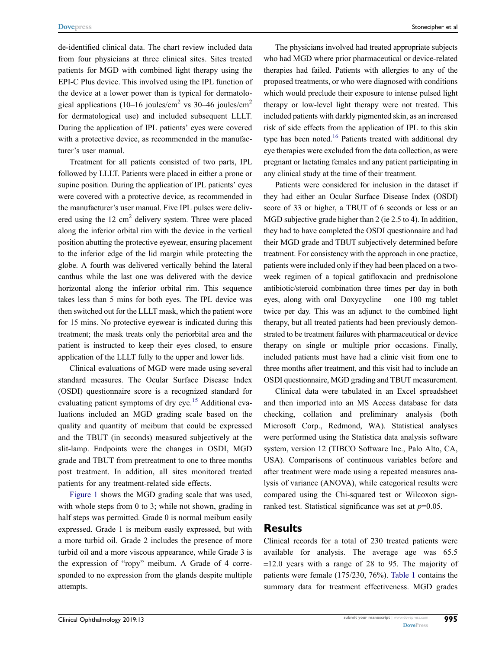de-identified clinical data. The chart review included data from four physicians at three clinical sites. Sites treated patients for MGD with combined light therapy using the EPI-C Plus device. This involved using the IPL function of the device at a lower power than is typical for dermatological applications (10–16 joules/cm<sup>2</sup> vs 30–46 joules/cm<sup>2</sup> for dermatological use) and included subsequent LLLT. During the application of IPL patients' eyes were covered with a protective device, as recommended in the manufacturer's user manual.

Treatment for all patients consisted of two parts, IPL followed by LLLT. Patients were placed in either a prone or supine position. During the application of IPL patients' eyes were covered with a protective device, as recommended in the manufacturer's user manual. Five IPL pulses were delivered using the  $12 \text{ cm}^2$  delivery system. Three were placed along the inferior orbital rim with the device in the vertical position abutting the protective eyewear, ensuring placement to the inferior edge of the lid margin while protecting the globe. A fourth was delivered vertically behind the lateral canthus while the last one was delivered with the device horizontal along the inferior orbital rim. This sequence takes less than 5 mins for both eyes. The IPL device was then switched out for the LLLT mask, which the patient wore for 15 mins. No protective eyewear is indicated during this treatment; the mask treats only the periorbital area and the patient is instructed to keep their eyes closed, to ensure application of the LLLT fully to the upper and lower lids.

<span id="page-2-0"></span>Clinical evaluations of MGD were made using several standard measures. The Ocular Surface Disease Index (OSDI) questionnaire score is a recognized standard for evaluating patient symptoms of dry eye.<sup>15</sup> Additional evaluations included an MGD grading scale based on the quality and quantity of meibum that could be expressed and the TBUT (in seconds) measured subjectively at the slit-lamp. Endpoints were the changes in OSDI, MGD grade and TBUT from pretreatment to one to three months post treatment. In addition, all sites monitored treated patients for any treatment-related side effects.

[Figure 1](#page-3-0) shows the MGD grading scale that was used, with whole steps from 0 to 3; while not shown, grading in half steps was permitted. Grade 0 is normal meibum easily expressed. Grade 1 is meibum easily expressed, but with a more turbid oil. Grade 2 includes the presence of more turbid oil and a more viscous appearance, while Grade 3 is the expression of "ropy" meibum. A Grade of 4 corresponded to no expression from the glands despite multiple attempts.

The physicians involved had treated appropriate subjects who had MGD where prior pharmaceutical or device-related therapies had failed. Patients with allergies to any of the proposed treatments, or who were diagnosed with conditions which would preclude their exposure to intense pulsed light therapy or low-level light therapy were not treated. This included patients with darkly pigmented skin, as an increased risk of side effects from the application of IPL to this skin type has been noted.<sup>16</sup> Patients treated with additional dry eye therapies were excluded from the data collection, as were pregnant or lactating females and any patient participating in any clinical study at the time of their treatment.

<span id="page-2-1"></span>Patients were considered for inclusion in the dataset if they had either an Ocular Surface Disease Index (OSDI) score of 33 or higher, a TBUT of 6 seconds or less or an MGD subjective grade higher than 2 (ie 2.5 to 4). In addition, they had to have completed the OSDI questionnaire and had their MGD grade and TBUT subjectively determined before treatment. For consistency with the approach in one practice, patients were included only if they had been placed on a twoweek regimen of a topical gatifloxacin and prednisolone antibiotic/steroid combination three times per day in both eyes, along with oral Doxycycline – one 100 mg tablet twice per day. This was an adjunct to the combined light therapy, but all treated patients had been previously demonstrated to be treatment failures with pharmaceutical or device therapy on single or multiple prior occasions. Finally, included patients must have had a clinic visit from one to three months after treatment, and this visit had to include an OSDI questionnaire, MGD grading and TBUT measurement.

Clinical data were tabulated in an Excel spreadsheet and then imported into an MS Access database for data checking, collation and preliminary analysis (both Microsoft Corp., Redmond, WA). Statistical analyses were performed using the Statistica data analysis software system, version 12 (TIBCO Software Inc., Palo Alto, CA, USA). Comparisons of continuous variables before and after treatment were made using a repeated measures analysis of variance (ANOVA), while categorical results were compared using the Chi-squared test or Wilcoxon signranked test. Statistical significance was set at  $p=0.05$ .

#### Results

Clinical records for a total of 230 treated patients were available for analysis. The average age was 65.5  $\pm 12.0$  years with a range of 28 to 95. The majority of patients were female (175/230, 76%). [Table 1](#page-3-1) contains the summary data for treatment effectiveness. MGD grades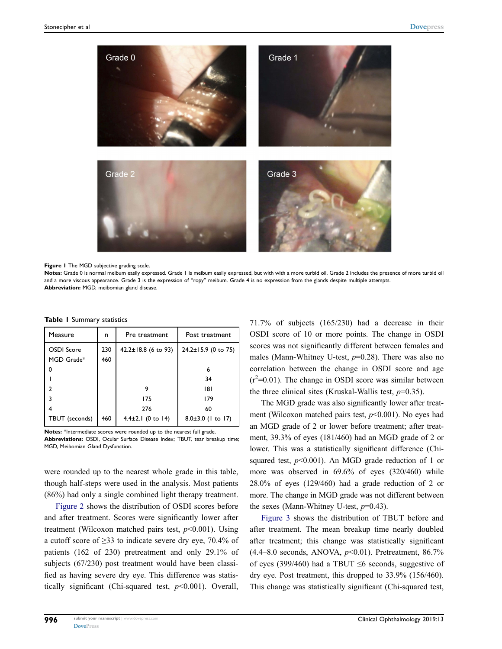<span id="page-3-0"></span>

Figure 1 The MGD subjective grading scale.

Notes: Grade 0 is normal meibum easily expressed. Grade 1 is meibum easily expressed, but with with a more turbid oil. Grade 2 includes the presence of more turbid oil and a more viscous appearance. Grade 3 is the expression of "ropy" meibum. Grade 4 is no expression from the glands despite multiple attempts. Abbreviation: MGD, meibomian gland disease.

| Measure                  | n          | Pre treatment         | Post treatment          |
|--------------------------|------------|-----------------------|-------------------------|
| OSDI Score<br>MGD Grade* | 230<br>460 | 42.2±18.8 (6 to 93)   | 24.2±15.9 (0 to 75)     |
| O                        |            |                       | 6                       |
|                          |            |                       | 34                      |
| າ                        |            |                       | 181                     |
|                          |            | 175                   | 179                     |
|                          |            | 276                   | 60                      |
| TBUT (seconds)           | 460        | $4.4\pm2.1$ (0 to 14) | $8.0 \pm 3.0$ (1 to 17) |

<span id="page-3-1"></span>Table 1 Summary statistics

Notes: \*Intermediate scores were rounded up to the nearest full grade. Abbreviations: OSDI, Ocular Surface Disease Index; TBUT, tear breakup time; MGD, Meibomian Gland Dysfunction.

were rounded up to the nearest whole grade in this table, though half-steps were used in the analysis. Most patients (86%) had only a single combined light therapy treatment.

[Figure 2](#page-4-0) shows the distribution of OSDI scores before and after treatment. Scores were significantly lower after treatment (Wilcoxon matched pairs test,  $p<0.001$ ). Using a cutoff score of ≥33 to indicate severe dry eye, 70.4% of patients (162 of 230) pretreatment and only 29.1% of subjects (67/230) post treatment would have been classified as having severe dry eye. This difference was statistically significant (Chi-squared test,  $p<0.001$ ). Overall, 71.7% of subjects (165/230) had a decrease in their OSDI score of 10 or more points. The change in OSDI scores was not significantly different between females and males (Mann-Whitney U-test,  $p=0.28$ ). There was also no correlation between the change in OSDI score and age  $(r^2=0.01)$ . The change in OSDI score was similar between the three clinical sites (Kruskal-Wallis test,  $p=0.35$ ).

The MGD grade was also significantly lower after treatment (Wilcoxon matched pairs test,  $p<0.001$ ). No eyes had an MGD grade of 2 or lower before treatment; after treatment, 39.3% of eyes (181/460) had an MGD grade of 2 or lower. This was a statistically significant difference (Chisquared test,  $p<0.001$ ). An MGD grade reduction of 1 or more was observed in 69.6% of eyes (320/460) while 28.0% of eyes (129/460) had a grade reduction of 2 or more. The change in MGD grade was not different between the sexes (Mann-Whitney U-test,  $p=0.43$ ).

[Figure 3](#page-4-1) shows the distribution of TBUT before and after treatment. The mean breakup time nearly doubled after treatment; this change was statistically significant  $(4.4–8.0$  seconds, ANOVA,  $p<0.01$ ). Pretreatment, 86.7% of eyes (399/460) had a TBUT  $\leq$ 6 seconds, suggestive of dry eye. Post treatment, this dropped to 33.9% (156/460). This change was statistically significant (Chi-squared test,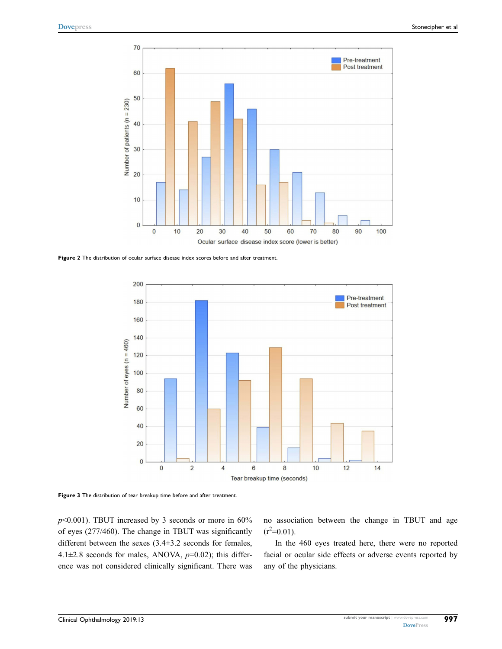<span id="page-4-0"></span>

<span id="page-4-1"></span>Figure 2 The distribution of ocular surface disease index scores before and after treatment.



Figure 3 The distribution of tear breakup time before and after treatment.

 $p$ <0.001). TBUT increased by 3 seconds or more in 60% of eyes (277/460). The change in TBUT was significantly different between the sexes (3.4±3.2 seconds for females, 4.1 $\pm$ 2.8 seconds for males, ANOVA,  $p$ =0.02); this difference was not considered clinically significant. There was no association between the change in TBUT and age  $(r^2=0.01)$ .

In the 460 eyes treated here, there were no reported facial or ocular side effects or adverse events reported by any of the physicians.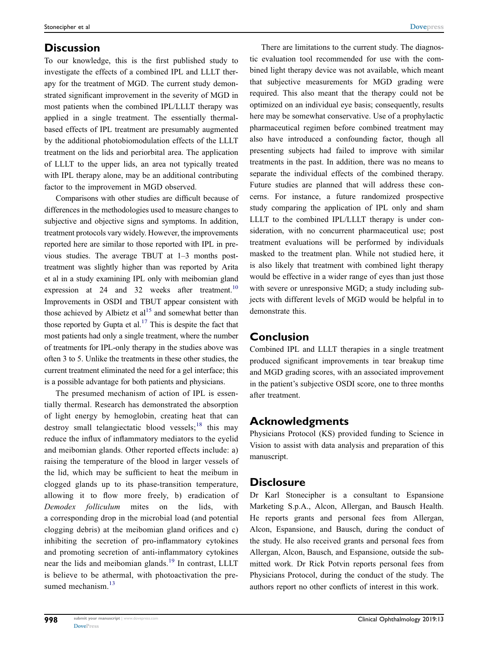#### **Discussion**

To our knowledge, this is the first published study to investigate the effects of a combined IPL and LLLT therapy for the treatment of MGD. The current study demonstrated significant improvement in the severity of MGD in most patients when the combined IPL/LLLT therapy was applied in a single treatment. The essentially thermalbased effects of IPL treatment are presumably augmented by the additional photobiomodulation effects of the LLLT treatment on the lids and periorbital area. The application of LLLT to the upper lids, an area not typically treated with IPL therapy alone, may be an additional contributing factor to the improvement in MGD observed.

<span id="page-5-0"></span>Comparisons with other studies are difficult because of differences in the methodologies used to measure changes to subjective and objective signs and symptoms. In addition, treatment protocols vary widely. However, the improvements reported here are similar to those reported with IPL in previous studies. The average TBUT at 1–3 months posttreatment was slightly higher than was reported by Arita et al in a study examining IPL only with meibomian gland expression at 24 and 32 weeks after treatment.<sup>10</sup> Improvements in OSDI and TBUT appear consistent with those achieved by Albietz et  $al<sup>15</sup>$  $al<sup>15</sup>$  $al<sup>15</sup>$  and somewhat better than those reported by Gupta et al.<sup>[17](#page-6-15)</sup> This is despite the fact that most patients had only a single treatment, where the number of treatments for IPL-only therapy in the studies above was often 3 to 5. Unlike the treatments in these other studies, the current treatment eliminated the need for a gel interface; this is a possible advantage for both patients and physicians.

<span id="page-5-3"></span><span id="page-5-2"></span><span id="page-5-1"></span>The presumed mechanism of action of IPL is essentially thermal. Research has demonstrated the absorption of light energy by hemoglobin, creating heat that can destroy small telangiectatic blood vessels;<sup>[18](#page-6-16)</sup> this may reduce the influx of inflammatory mediators to the eyelid and meibomian glands. Other reported effects include: a) raising the temperature of the blood in larger vessels of the lid, which may be sufficient to heat the meibum in clogged glands up to its phase-transition temperature, allowing it to flow more freely, b) eradication of Demodex folliculum mites on the lids, with a corresponding drop in the microbial load (and potential clogging debris) at the meibomian gland orifices and c) inhibiting the secretion of pro-inflammatory cytokines and promoting secretion of anti-inflammatory cytokines near the lids and meibomian glands.<sup>[19](#page-6-17)</sup> In contrast, LLLT is believe to be athermal, with photoactivation the pre-sumed mechanism.<sup>[13](#page-6-10)</sup>

There are limitations to the current study. The diagnostic evaluation tool recommended for use with the combined light therapy device was not available, which meant that subjective measurements for MGD grading were required. This also meant that the therapy could not be optimized on an individual eye basis; consequently, results here may be somewhat conservative. Use of a prophylactic pharmaceutical regimen before combined treatment may also have introduced a confounding factor, though all presenting subjects had failed to improve with similar treatments in the past. In addition, there was no means to separate the individual effects of the combined therapy. Future studies are planned that will address these concerns. For instance, a future randomized prospective study comparing the application of IPL only and sham LLLT to the combined IPL/LLLT therapy is under consideration, with no concurrent pharmaceutical use; post treatment evaluations will be performed by individuals masked to the treatment plan. While not studied here, it is also likely that treatment with combined light therapy would be effective in a wider range of eyes than just those with severe or unresponsive MGD; a study including subjects with different levels of MGD would be helpful in to demonstrate this.

#### Conclusion

Combined IPL and LLLT therapies in a single treatment produced significant improvements in tear breakup time and MGD grading scores, with an associated improvement in the patient's subjective OSDI score, one to three months after treatment.

### Acknowledgments

Physicians Protocol (KS) provided funding to Science in Vision to assist with data analysis and preparation of this manuscript.

### **Disclosure**

Dr Karl Stonecipher is a consultant to Espansione Marketing S.p.A., Alcon, Allergan, and Bausch Health. He reports grants and personal fees from Allergan, Alcon, Espansione, and Bausch, during the conduct of the study. He also received grants and personal fees from Allergan, Alcon, Bausch, and Espansione, outside the submitted work. Dr Rick Potvin reports personal fees from Physicians Protocol, during the conduct of the study. The authors report no other conflicts of interest in this work.